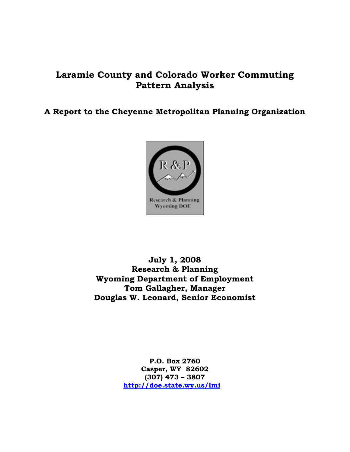# **Laramie County and Colorado Worker Commuting Pattern Analysis**

**A Report to the Cheyenne Metropolitan Planning Organization** 



**July 1, 2008 Research & Planning Wyoming Department of Employment Tom Gallagher, Manager Douglas W. Leonard, Senior Economist** 

> **P.O. Box 2760 Casper, WY 82602 (307) 473 – 3807 <http://doe.state.wy.us/lmi>**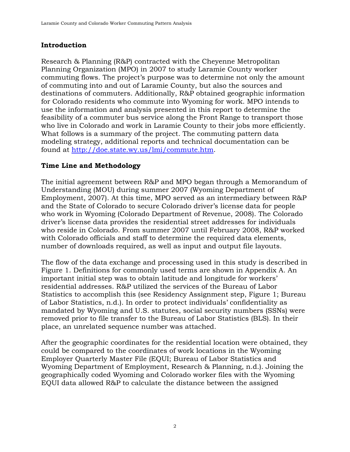## **Introduction**

Research & Planning (R&P) contracted with the Cheyenne Metropolitan Planning Organization (MPO) in 2007 to study Laramie County worker commuting flows. The project's purpose was to determine not only the amount of commuting into and out of Laramie County, but also the sources and destinations of commuters. Additionally, R&P obtained geographic information for Colorado residents who commute into Wyoming for work. MPO intends to use the information and analysis presented in this report to determine the feasibility of a commuter bus service along the Front Range to transport those who live in Colorado and work in Laramie County to their jobs more efficiently. What follows is a summary of the project. The commuting pattern data modeling strategy, additional reports and technical documentation can be found at [http://doe.state.wy.us/lmi/commute.htm.](http://doe.state.wy.us/lmi/commute.htm)

# **Time Line and Methodology**

The initial agreement between R&P and MPO began through a Memorandum of Understanding (MOU) during summer 2007 (Wyoming Department of Employment, 2007). At this time, MPO served as an intermediary between R&P and the State of Colorado to secure Colorado driver's license data for people who work in Wyoming (Colorado Department of Revenue, 2008). The Colorado driver's license data provides the residential street addresses for individuals who reside in Colorado. From summer 2007 until February 2008, R&P worked with Colorado officials and staff to determine the required data elements, number of downloads required, as well as input and output file layouts.

The flow of the data exchange and processing used in this study is described in Figure 1. Definitions for commonly used terms are shown in Appendix A. An important initial step was to obtain latitude and longitude for workers' residential addresses. R&P utilized the services of the Bureau of Labor Statistics to accomplish this (see Residency Assignment step, Figure 1; Bureau of Labor Statistics, n.d.). In order to protect individuals' confidentiality as mandated by Wyoming and U.S. statutes, social security numbers (SSNs) were removed prior to file transfer to the Bureau of Labor Statistics (BLS). In their place, an unrelated sequence number was attached.

After the geographic coordinates for the residential location were obtained, they could be compared to the coordinates of work locations in the Wyoming Employer Quarterly Master File (EQUI; Bureau of Labor Statistics and Wyoming Department of Employment, Research & Planning, n.d.). Joining the geographically coded Wyoming and Colorado worker files with the Wyoming EQUI data allowed R&P to calculate the distance between the assigned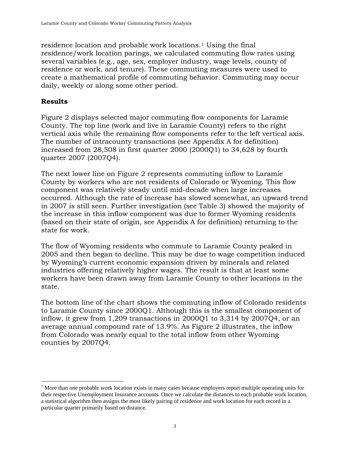residence location and probable work locations.[1](#page-2-0) Using the final residence/work location parings, we calculated commuting flow rates using several variables (e.g., age, sex, employer industry, wage levels, county of residence or work, and tenure). These commuting measures were used to create a mathematical profile of commuting behavior. Commuting may occur daily, weekly or along some other period.

### **Results**

 $\overline{a}$ 

Figure 2 displays selected major commuting flow components for Laramie County. The top line (work and live in Laramie County) refers to the right vertical axis while the remaining flow components refer to the left vertical axis. The number of intracounty transactions (see Appendix A for definition) increased from 28,508 in first quarter 2000 (2000Q1) to 34,628 by fourth quarter 2007 (2007Q4).

The next lower line on Figure 2 represents commuting inflow to Laramie County by workers who are not residents of Colorado or Wyoming. This flow component was relatively steady until mid-decade when large increases occurred. Although the rate of increase has slowed somewhat, an upward trend in 2007 is still seen. Further investigation (see Table 3) showed the majority of the increase in this inflow component was due to former Wyoming residents (based on their state of origin, see Appendix A for definition) returning to the state for work.

The flow of Wyoming residents who commute to Laramie County peaked in 2005 and then began to decline. This may be due to wage competition induced by Wyoming's current economic expansion driven by minerals and related industries offering relatively higher wages. The result is that at least some workers have been drawn away from Laramie County to other locations in the state.

The bottom line of the chart shows the commuting inflow of Colorado residents to Laramie County since 2000Q1. Although this is the smallest component of inflow, it grew from 1,209 transactions in 2000Q1 to 3,314 by 2007Q4, or an average annual compound rate of 13.9%. As Figure 2 illustrates, the inflow from Colorado was nearly equal to the total inflow from other Wyoming counties by 2007Q4.

<span id="page-2-0"></span><sup>&</sup>lt;sup>1</sup> More than one probable work location exists in many cases because employers report multiple operating units for their respective Unemployment Insurance accounts. Once we calculate the distances to each probable work location, a statistical algorithm then assigns the most likely pairing of residence and work location for each record in a particular quarter primarily based on distance.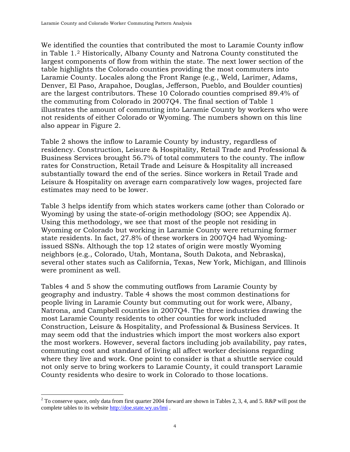We identified the counties that contributed the most to Laramie County inflow in Table 1.[2](#page-3-0) Historically, Albany County and Natrona County constituted the largest components of flow from within the state. The next lower section of the table highlights the Colorado counties providing the most commuters into Laramie County. Locales along the Front Range (e.g., Weld, Larimer, Adams, Denver, El Paso, Arapahoe, Douglas, Jefferson, Pueblo, and Boulder counties) are the largest contributors. These 10 Colorado counties comprised 89.4% of the commuting from Colorado in 2007Q4. The final section of Table 1 illustrates the amount of commuting into Laramie County by workers who were not residents of either Colorado or Wyoming. The numbers shown on this line also appear in Figure 2.

Table 2 shows the inflow to Laramie County by industry, regardless of residency. Construction, Leisure & Hospitality, Retail Trade and Professional & Business Services brought 56.7% of total commuters to the county. The inflow rates for Construction, Retail Trade and Leisure & Hospitality all increased substantially toward the end of the series. Since workers in Retail Trade and Leisure & Hospitality on average earn comparatively low wages, projected fare estimates may need to be lower.

Table 3 helps identify from which states workers came (other than Colorado or Wyoming) by using the state-of-origin methodology (SOO; see Appendix A). Using this methodology, we see that most of the people not residing in Wyoming or Colorado but working in Laramie County were returning former state residents. In fact, 27.8% of these workers in 2007Q4 had Wyomingissued SSNs. Although the top 12 states of origin were mostly Wyoming neighbors (e.g., Colorado, Utah, Montana, South Dakota, and Nebraska), several other states such as California, Texas, New York, Michigan, and Illinois were prominent as well.

Tables 4 and 5 show the commuting outflows from Laramie County by geography and industry. Table 4 shows the most common destinations for people living in Laramie County but commuting out for work were, Albany, Natrona, and Campbell counties in 2007Q4. The three industries drawing the most Laramie County residents to other counties for work included Construction, Leisure & Hospitality, and Professional & Business Services. It may seem odd that the industries which import the most workers also export the most workers. However, several factors including job availability, pay rates, commuting cost and standard of living all affect worker decisions regarding where they live and work. One point to consider is that a shuttle service could not only serve to bring workers to Laramie County, it could transport Laramie County residents who desire to work in Colorado to those locations.

 $\overline{a}$ 

<span id="page-3-0"></span><sup>&</sup>lt;sup>2</sup> To conserve space, only data from first quarter 2004 forward are shown in Tables 2, 3, 4, and 5. R&P will post the complete tables to its website http://doe.state.wy.us/lmi.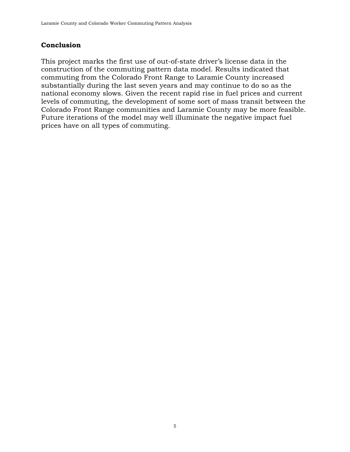### **Conclusion**

This project marks the first use of out-of-state driver's license data in the construction of the commuting pattern data model. Results indicated that commuting from the Colorado Front Range to Laramie County increased substantially during the last seven years and may continue to do so as the national economy slows. Given the recent rapid rise in fuel prices and current levels of commuting, the development of some sort of mass transit between the Colorado Front Range communities and Laramie County may be more feasible. Future iterations of the model may well illuminate the negative impact fuel prices have on all types of commuting.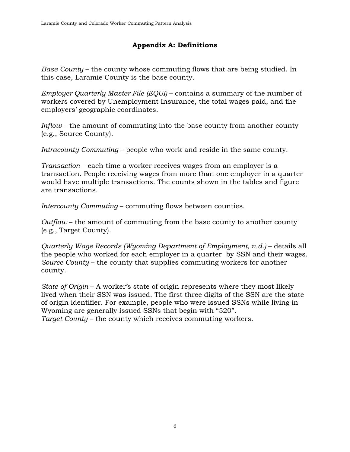# **Appendix A: Definitions**

*Base County* – the county whose commuting flows that are being studied. In this case, Laramie County is the base county.

*Employer Quarterly Master File (EQUI)* – contains a summary of the number of workers covered by Unemployment Insurance, the total wages paid, and the employers' geographic coordinates.

*Inflow* – the amount of commuting into the base county from another county (e.g., Source County).

*Intracounty Commuting* – people who work and reside in the same county.

*Transaction* – each time a worker receives wages from an employer is a transaction. People receiving wages from more than one employer in a quarter would have multiple transactions. The counts shown in the tables and figure are transactions.

*Intercounty Commuting* – commuting flows between counties.

*Outflow* – the amount of commuting from the base county to another county (e.g., Target County).

*Quarterly Wage Records (Wyoming Department of Employment, n.d.)* – details all the people who worked for each employer in a quarter by SSN and their wages. *Source County* – the county that supplies commuting workers for another county.

*State of Origin* – A worker's state of origin represents where they most likely lived when their SSN was issued. The first three digits of the SSN are the state of origin identifier. For example, people who were issued SSNs while living in Wyoming are generally issued SSNs that begin with "520". *Target County* – the county which receives commuting workers.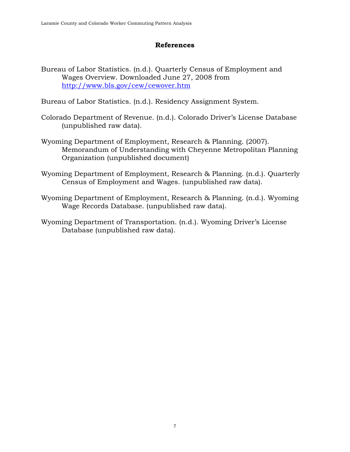### **References**

Bureau of Labor Statistics. (n.d.). Quarterly Census of Employment and Wages Overview. Downloaded June 27, 2008 from <http://www.bls.gov/cew/cewover.htm>

Bureau of Labor Statistics. (n.d.). Residency Assignment System.

- Colorado Department of Revenue. (n.d.). Colorado Driver's License Database (unpublished raw data).
- Wyoming Department of Employment, Research & Planning. (2007). Memorandum of Understanding with Cheyenne Metropolitan Planning Organization (unpublished document)
- Wyoming Department of Employment, Research & Planning. (n.d.). Quarterly Census of Employment and Wages. (unpublished raw data).
- Wyoming Department of Employment, Research & Planning. (n.d.). Wyoming Wage Records Database. (unpublished raw data).
- Wyoming Department of Transportation. (n.d.). Wyoming Driver's License Database (unpublished raw data).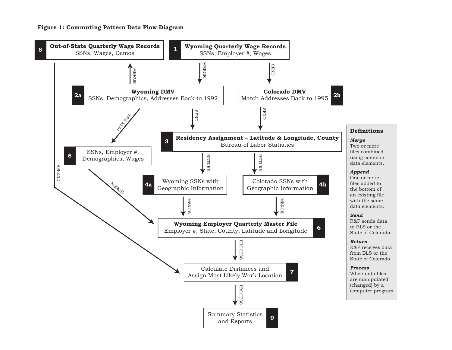#### **Figure 1: Commuting Pattern Data Flow Diagram**

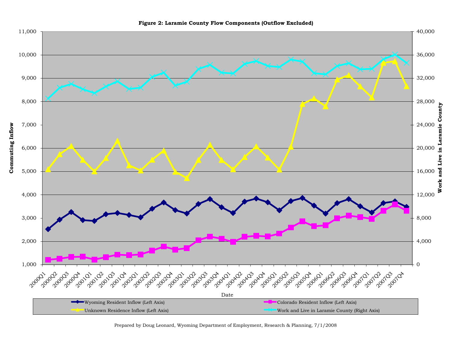

**Figure 2: Laramie County Flow Components (Outflow Excluded)**

Prepared by Doug Leonard, Wyoming Department of Employment, Research & Planning, 7/1/2008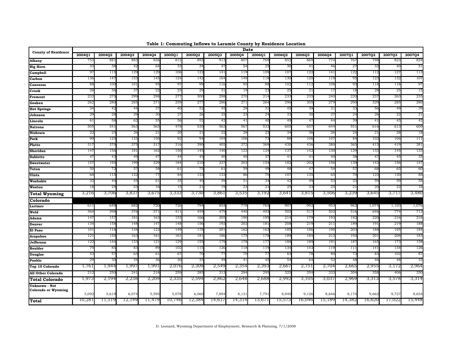| <b>County of Residence</b>                  |                       |                 |                 |        |        |                 |                 | Date            |                 |                 |        |                 |                 |                 | 2007Q3<br>823<br>3.<br>40<br>127<br>132<br>118<br>28<br>25<br>263<br>285<br>56<br>49<br>22<br>26<br>41<br>45<br>613<br>21<br>28<br>106<br>419<br>145<br>47<br>45<br>156<br>68<br>65<br>13C<br>59<br>59<br>22<br>20<br>3,717 |                 |
|---------------------------------------------|-----------------------|-----------------|-----------------|--------|--------|-----------------|-----------------|-----------------|-----------------|-----------------|--------|-----------------|-----------------|-----------------|-----------------------------------------------------------------------------------------------------------------------------------------------------------------------------------------------------------------------------|-----------------|
|                                             | 2004Q1                | 2004Q2          | 2004Q3          | 2004Q4 | 2005Q1 | 2005Q2          | <b>2005Q3</b>   | 2005Q4          | 2006Q1          | 2006Q2          | 2006Q3 | 2006Q4          | 2007Q1          | 2007Q2          |                                                                                                                                                                                                                             | 2007Q4          |
| <b>Albany</b>                               | 753                   | 88              | 88.             | 826    | 812    | 893             | 91.             | 80 <sup>′</sup> | 769             | 852             | 869    | 774             | 767             | 798             |                                                                                                                                                                                                                             | 82 <sup>2</sup> |
| <b>Big Horn</b>                             | 3                     | 38              | 42              | 64     | 33     | 3 <sup>2</sup>  | 4'              | 54              | 25              | 30              | 41     | 46              | $^{2}$          |                 |                                                                                                                                                                                                                             | 51              |
| <b>Campbell</b>                             | 97                    | 115             | 129             | 129    | 106    | 122             | 14 <sup>2</sup> | 119             | 10 <sub>5</sub> | 107             | 122    | 141             | 122             | 112             |                                                                                                                                                                                                                             | 113             |
| Carbon                                      | 136                   | 147             | 153             | 145    | 124    | 142             | 164             | 149             | 118             | 13 <sub>C</sub> | 120    | 11 <sup>c</sup> | 95              | 12              |                                                                                                                                                                                                                             | 107             |
| Converse                                    | 88                    | 10 <sub>C</sub> | 10 <sub>1</sub> | 95     | 97     | 99              | 11(             | 95              | 88              | 102             | 112    | 108             | 93              | 118             |                                                                                                                                                                                                                             | 97              |
| Crook                                       | 28                    | 36              | 3 <sub>1</sub>  | 22     | 23     | 29              | 3               | 19              | 23              | 25              | 21     | 17              | 18              |                 |                                                                                                                                                                                                                             | 15              |
| Fremont                                     | 23.                   | 275             | 299             | 298    | 277    | 300             | 298             | 270             | 214             | 233             | 235    | 24C             | 220             | 237             |                                                                                                                                                                                                                             | 235             |
| Goshen                                      | 26                    | 280             | 285             | 271    | 259    | 277             | 28              | 27 <sup>2</sup> | 264             | 296             | 305    | 279             | 290             | 329             |                                                                                                                                                                                                                             | 280             |
| <b>Hot Springs</b>                          | 3 <sup>4</sup>        | 42              | 44              | 37     | 40     | 52              | 45              | 29              | 31              | 45              | 39     | 31              | 33              |                 |                                                                                                                                                                                                                             | 39              |
| Johnson                                     | 2 <sup>0</sup>        | 28              | $^{2c}$         | 30     | 27     | 26              | 2               | 2.              | 24              | 33              | 30     | 27              | 2 <sup>2</sup>  |                 |                                                                                                                                                                                                                             | 21              |
| Lincoln                                     | 6                     | 58              | 62              | 55     | 56     | 52              | 4 <sup>7</sup>  | 41              | 40              | 49              | 47     | 44              | 3 <sub>5</sub>  |                 |                                                                                                                                                                                                                             | 42              |
| <b>Natrona</b>                              | 505                   | 541             | 563             | 565    | 478    | 530             | 56.             | 56              | 533             | 605             | 657    | 644             | 55              | 616             |                                                                                                                                                                                                                             | 609             |
| <b>Niobrara</b>                             | $2^{\prime}$          | 25              | 26              | 21     | 20     | 21              | 22              | 28              | 23              | 3<              | 36     | 26              | 2 <sup>2</sup>  |                 |                                                                                                                                                                                                                             | 18              |
| Park                                        | 99                    | 125             | 13 <sub>o</sub> | 150    | 92     | 94              | 10 <sup>4</sup> | 100             | 73              | 88              | 106    | 107             | 8 <sup>2</sup>  | 10 <sub>2</sub> |                                                                                                                                                                                                                             | 111             |
| Platte                                      | 317                   | 37C             | 375             | 317    | 316    | 390             | 405             | 372             | 369             | 430             | 436    | 380             | 365             | 415             |                                                                                                                                                                                                                             | 381             |
| Sheridan                                    | 147                   | 156             | 18 <sup>2</sup> | 162    | 150    | 145             | 140             | 12              | 12 <sup>2</sup> | 13'             | 142    | 130             | 129             | 133             |                                                                                                                                                                                                                             | 133             |
| <b>Sublette</b>                             | 4 <sup>7</sup>        | 43              | 49              | 47     | 44     | 45              | 4(              | 4(              | 37              | 4 <sup>1</sup>  | 41     | 40              | 38              |                 |                                                                                                                                                                                                                             | 35              |
| <b>Sweetwater</b>                           | 15'                   | 195             | 199             | 229    | 184    | 210             | $22^{\prime}$   | 20:             | 154             | 182             | 202    | 156             | 139             | 142             |                                                                                                                                                                                                                             | 147             |
| Teton                                       | 50                    | 72              | 57              | 58     | 61     | 75              | 61              | 59              | 49              | 48              | 47     | 54              | 57              |                 |                                                                                                                                                                                                                             | 60              |
| Uinta                                       | 68                    | 115             | 122             | 77     | 84     | 133             | 13 <sub>1</sub> | 86              | 70              | $10^{\circ}$    | 135    | 65              | 70              | 122             |                                                                                                                                                                                                                             | 88              |
| Washakie                                    | 32                    | 40              | 45              | 61     | 35     | 40              | 3 <sup>c</sup>  | 51              | 34              | 42              | 49     | 53              | 33              |                 |                                                                                                                                                                                                                             | 58              |
| Weston                                      | 18                    | 24              | 23              | 16     | 15     | 21              |                 | 2.              | 21              | 25              | 23     | 25              | $^{21}$         |                 |                                                                                                                                                                                                                             | 16              |
| <b>Total Wyoming</b>                        | 3,216                 | 3,706           | 3,837           | 3,675  | 3,333  | 3,730           | 3,86            | 3,535           | 3,192           | 3,641           | 3,815  | 3,506           | 3,239           | 3,645           |                                                                                                                                                                                                                             | 3,480           |
| Colorado                                    |                       |                 |                 |        |        |                 |                 |                 |                 |                 |        |                 |                 |                 |                                                                                                                                                                                                                             |                 |
| Larimer                                     | 611                   | 649             | 682             | 720    | 726    | 794             | 85 <sup>4</sup> | 778             | 765             | 90'             | 992    | 953             | 963             | 1,074           | 1,103                                                                                                                                                                                                                       | 1,076           |
| Weld                                        | 36 <sup>4</sup>       | 398             | 376             | 371    | 411    | 459             | 479             | 440             | 493             | 505             | 517    | 502             | 516             | 646             | 774                                                                                                                                                                                                                         | 713             |
| Adams                                       | 14'                   | 157             | 18              | 163    | 153    | 166             | 20              | 190             | 195             | 21 <sup>2</sup> | 179    | 193             | 182             | 220             | 216                                                                                                                                                                                                                         | 216             |
| Denver                                      | 13 <sup>4</sup>       | 158             | 148             | 147    | 148    | 156             | 193             | 202             | 181             | 208             | 219    | 211             | 189             | 19 <sub>1</sub> | 219                                                                                                                                                                                                                         | 188             |
| El Paso                                     | 10 <sup>1</sup>       | 116             | 13 <sup>2</sup> | 122    | 149    | 178             | 20              | 162             | 163             | 185             | 186    | 19 <sub>C</sub> | 203             | 188             | 195                                                                                                                                                                                                                         | 184             |
| Arapahoe                                    | 12                    | 15 <sub>C</sub> | 163             | 161    | 161    | 181             | 180             | 17 <sub>3</sub> | 178             | 189             | 184    | 213             | 193             | 20              | 208                                                                                                                                                                                                                         | 183             |
| Jefferson                                   | 122                   | 144             | 13 <sup>°</sup> | 121    | 129    | 15 <sub>5</sub> | 17 <sub>5</sub> | 178             | 177             | 188             | 189    | 191             | 187             | 16              | 173                                                                                                                                                                                                                         | 158             |
| <b>Boulder</b>                              | 79                    | 85              | 83              | 89     | 102    | 115             | 126             | 118             | 11 <sup>c</sup> | 13 <sup>2</sup> | 143    | 119             | 111             | 141             | 134                                                                                                                                                                                                                         | 126             |
| <b>Douglas</b>                              | 5.                    | 57              | 63              | 61     | 67     | 70              | 77              | 70              | 77              | 83              | 78     | 80              | 73              | 83              | 102                                                                                                                                                                                                                         | 87              |
| <b>Pueblo</b>                               | $\mathbf{2}^{\prime}$ | 30              | 34              | 36     | 30     | 35              | 49              | 41              | 45              | 5 <sup>2</sup>  | 64     | 52              | 48              | 46              | 48                                                                                                                                                                                                                          | 33              |
| Top 10 Colorado                             | 1,76                  | 1,944           | 1,99            | 1,991  | 2,076  | 2,309           | 2,549           | 2,354           | 2,393           | 2,667           | 2,75.  | 2,704           | 2,66            | 2,955           | 3,172                                                                                                                                                                                                                       | 2,964           |
| All Other Colorado                          | 212                   | 250             | 24              | 218    | 259    | 285             | 31              | 29 <sup>°</sup> | 29              | 325             | 354    | 333             | 30 <sup>4</sup> | 358             | 406                                                                                                                                                                                                                         | 350             |
| <b>Total Colorado</b>                       | 1,973                 | 2,194           | 2,238           | 2,209  | 2,335  | 2,594           | 2,862           | 2,648           | 2,688           | 2,992           | 3,105  | 3,037           | 2,969           | 3,313           | 3,578                                                                                                                                                                                                                       | 3,314           |
| Unknown - Not<br><b>Colorado or Wyoming</b> |                       |                 |                 |        |        |                 |                 |                 |                 |                 |        |                 |                 |                 |                                                                                                                                                                                                                             |                 |
|                                             | 5,09                  | 5.619           | 6.07            | 5,595  | 5.078  | 6.060           | 7.894           | 8,13            | 7,79            | 8,94            | 9.126  | 8.646           | 8,174           | 9.66            | 9,727                                                                                                                                                                                                                       | 8,654           |
| <b>Total</b>                                | 10.28.                | 11,519          | 12,149          | 11,479 | 10.746 | 12,384          | 14,61           | 14,314          | 13,671          | 15,573          | 16,046 | 15,189          | 14,382          | 16,620          | 17,022                                                                                                                                                                                                                      | 15,448          |

**Table 1: Commuting Inflows to Laramie County by Residence Location**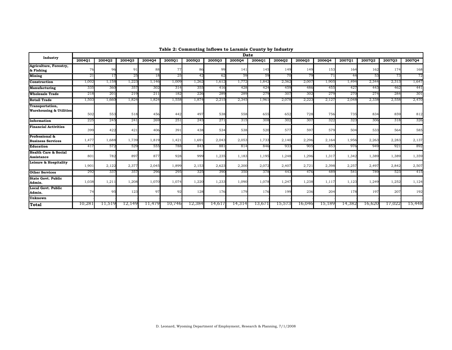| Industry<br>200402<br>200504<br>200601<br>200401<br>200403<br>200404<br>200501<br>200502<br>200503<br>200602<br>200603<br>200604<br>200701<br>200702<br>200703<br>Agriculture, Forestry,<br>76<br>96<br>91<br>88<br>86<br>99<br>145<br>153<br>162<br>77<br>141<br>149<br>149<br>164<br>& Fishing<br>18<br><b>Mining</b><br>25<br>25<br>42<br>59<br>59<br>79<br>71<br>44<br>53<br>21<br>62<br>70<br>17 | 200704<br>174<br>168<br>72<br>73<br>1,647 |
|-------------------------------------------------------------------------------------------------------------------------------------------------------------------------------------------------------------------------------------------------------------------------------------------------------------------------------------------------------------------------------------------------------|-------------------------------------------|
|                                                                                                                                                                                                                                                                                                                                                                                                       |                                           |
|                                                                                                                                                                                                                                                                                                                                                                                                       |                                           |
|                                                                                                                                                                                                                                                                                                                                                                                                       |                                           |
| 1,158<br>1,223<br>1,009<br>1,772<br>1,842<br>2,007<br>1,905<br>1.494<br>2,344<br>2,313<br>1,002<br>1,146<br>1,262<br>1,612<br>2,362<br>Construction                                                                                                                                                                                                                                                   |                                           |
| 355<br><b>Manufacturing</b><br>335<br>360<br>357<br>302<br>314<br>416<br>428<br>424<br>459<br>486<br>455<br>427<br>443                                                                                                                                                                                                                                                                                | 441<br>462                                |
| 226<br>279<br>218<br>201<br>219<br>211<br>182<br>289<br>289<br>279<br>307<br>302<br>270<br>274<br><b>Wholesale Trade</b>                                                                                                                                                                                                                                                                              | 301<br>284                                |
| <b>Retail Trade</b><br>1,503<br>1,824<br>1,824<br>1,558<br>1,874<br>2,215<br>2,345<br>1,961<br>2,078<br>2,223<br>2,048<br>2,338<br>2,558<br>1,660<br>2,127                                                                                                                                                                                                                                            | 2,470                                     |
| Transportation,<br><b>Warehousing &amp; Utilities</b><br>558<br>553<br>518<br>456<br>538<br>652<br>728<br>756<br>735<br>834<br>502<br>497<br>655<br>442                                                                                                                                                                                                                                               | 859<br>812                                |
| 225<br>245<br>241<br>269<br>251<br>245<br>271<br>308<br>302<br>322<br>323<br>306<br>315<br>307<br>Information                                                                                                                                                                                                                                                                                         | 326<br>318                                |
| <b>Financial Activities</b><br>538<br>577<br>597<br>399<br>422<br>421<br>406<br>391<br>438<br>534<br>520<br>579<br>504<br>533                                                                                                                                                                                                                                                                         | 564<br>585                                |
| Professional &<br>1,739<br>1,733<br>2,296<br>1,477<br>1,688<br>1,819<br>1,421<br>1,691<br>2,043<br>2,053<br>2,140<br>2,164<br>1,956<br>2,263<br>2,283<br><b>Business Services</b>                                                                                                                                                                                                                     | 2,137                                     |
| <b>Education</b><br>572<br>555<br>788<br>843<br>881<br>814<br>846<br>949<br>417<br>529<br>933<br>905<br>853<br>976                                                                                                                                                                                                                                                                                    | 892<br>921                                |
| <b>Health Care &amp; Social</b><br>897<br>999<br>801<br>782<br>877<br>928<br>1,235<br>1,195<br>1,248<br>1,296<br>1,317<br>1,342<br>1,389<br>1,389<br>1,183<br><b>Assistance</b>                                                                                                                                                                                                                       | 1,359                                     |
| Leisure & Hospitality<br>2,377<br>2,045<br>1,899<br>2,153<br>2,200<br>2,072<br>2,721<br>1,901<br>2,122<br>2,623<br>2,407<br>2,398<br>2,257<br>2,497<br>2,842                                                                                                                                                                                                                                          | 2,507                                     |
| <b>Other Services</b><br>325<br>390<br>292<br>337<br>357<br>296<br>295<br>350<br>378<br>443<br>476<br>489<br>541<br>789                                                                                                                                                                                                                                                                               | 415<br>523                                |
| <b>State Govt. Public</b><br>1,233<br>1,038<br>1,211<br>1,208<br>1,070<br>1,074<br>1,220<br>1,090<br>1,078<br>1,247<br>1,238<br>1,123<br>1,249<br>1,252<br>1,117<br>Admin.                                                                                                                                                                                                                            | 1,124                                     |
| Local Govt. Public<br>95<br>123<br>97<br>128<br>176<br>179<br>176<br>19 <sup>c</sup><br>236<br>204<br>178<br>197<br>74<br>92<br>Admin.                                                                                                                                                                                                                                                                | 207<br>192                                |
| Unknown                                                                                                                                                                                                                                                                                                                                                                                               |                                           |
| 10,28<br>14,314<br>11,519<br>12,149<br>12,384<br>14,61<br>16,046<br>15,189<br>14,382<br>16,620<br>17,022<br>11,479<br>10,746<br>13,671<br>15,573<br><b>Total</b>                                                                                                                                                                                                                                      | 15,448                                    |

#### **Table 2: Commuting Inflows to Laramie County by Industry**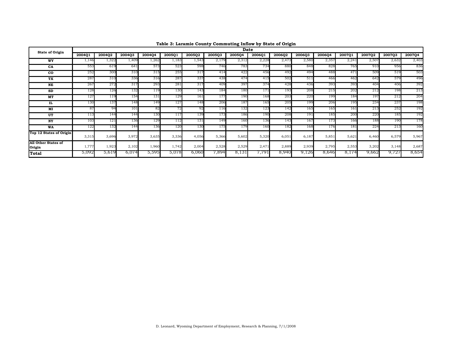| <b>State of Origin</b>               |        |        |        |        |        |        |        | Date   |        |        |        |        |        |        | <b>2007Q3</b><br>2,632<br>2,507 |        |
|--------------------------------------|--------|--------|--------|--------|--------|--------|--------|--------|--------|--------|--------|--------|--------|--------|---------------------------------|--------|
|                                      | 200401 | 2004Q2 | 2004Q3 | 2004Q4 | 200501 | 200502 | 2005Q3 | 2005Q4 | 2006Q1 | 2006Q2 | 2006Q3 | 2006Q4 | 2007Q1 | 200702 |                                 | 2007Q4 |
| WY                                   | 1,146  | 1,322  | 1,409  | 1,262  | 1,183  | 1,543  | 2,179  | 2,312  | 2,228  | 2,473  | 2,580  | 2,357  | 2,241  |        |                                 | 2,403  |
| CA                                   | 553    | 619    | 641    | 573    | 523    | 598    | 746    | 783    | 734    | 880    | 848    | 828    | 765    | 910    | 956                             | 836    |
| $_{\rm co}$                          | 252    | 300    | 310    | 315    | 255    | 317    | 414    | 422    | 456    | 492    | 494    | 488    | 471    | 509    | 519                             | 503    |
| TX                                   | 287    | 310    | 336    | 316    | 287    | 337    | 438    | 474    | 415    | 502    | 511    | 466    | 462    | 642    | 579                             | 496    |
| NE                                   | 267    | 272    | 317    | 293    | 281    | 317    | 409    | 397    | 374    | 428    | 436    | 393    | 393    | 404    | 406                             | 392    |
| SD                                   | 128    | 126    | 132    | 119    | 130    | 143    | 184    | 180    | 171    | 193    | 208    | 215    | 202    | 212    | 198                             | 213    |
| MT                                   | 127    | 119    | 154    | 131    | 129    | 161    | 177    | 190    | 168    | 203    | 220    | 199    | 184    | 197    | 212                             | 204    |
| IL                                   | 130    | 137    | 148    | 149    | 127    | 148    | 206    | 187    | 165    | 205    | 199    | 206    | 195    | 234    | 237                             | 198    |
| MI                                   | 87     | 94     | 101    | 82     |        | 92     | .16    | 132    | 123    | 142    | 165    | 165    | 161    | 213    | 252                             | 192    |
| UT                                   | 113    | 144    | 144    | 130    |        | 139    | 173    | 186    | 190    | 208    | 191    | 185    | 200    | 220    | 185                             | 192    |
| NY                                   | 103    | 121    | 136    | 129    | l 12   | 131    | 149    | 160    | 136    | 143    | 167    | 173    | 166    | 188    | 190                             | 178    |
| WA                                   | 122    | 132    | 144    | 136    | 120    | 130    | 175    | 179    | 160    | 182    | 168    | 176    | 181    | 224    | 213                             | 160    |
| Top 12 States of Origin              | 3,315  | 3,696  | 3,972  | 3,635  | 3,336  | 4,056  | 5,366  | 5,602  | 5,320  | 6,051  | 6,187  | 5,851  | 5,621  | 6,460  | 6,579                           | 5,967  |
| <b>All Other States of</b><br>Origin | 1,777  | 1,923  | 2,102  | 1,960  | 1,742  | 2,004  | 2,528  | 2,529  | 2,471  | 2,889  | 2,939  | 2,795  | 2,553  | 3,202  | 3,148                           | 2,687  |
| Total                                | 5,092  | 5,619  | 6,074  | 5,595  | 5,078  | 6,060  | 7,894  | 8,13.  | 791.'  | 8,940  | 9,126  | 8,646  | 8,174  | 9,662  | 9,727                           | 8,654  |

**Table 3: Laramie County Commuting Inflow by State of Origin**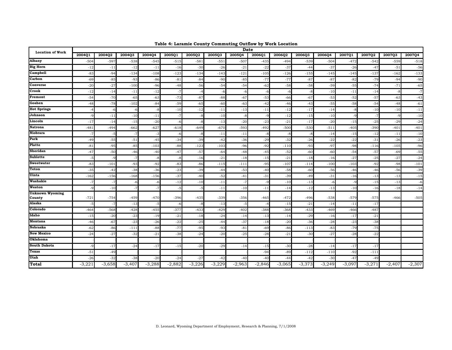| <b>Location of Work</b> |         |          |          |          |          |          |          | <b>Date</b> |          |          |          |          |          |          |          |          |
|-------------------------|---------|----------|----------|----------|----------|----------|----------|-------------|----------|----------|----------|----------|----------|----------|----------|----------|
|                         | 200401  | 200402   | 200403   | 2004Q4   | 200501   | 200502   | 2005Q3   | 2005Q4      | 200601   | 200602   | 200603   | 200604   | 200701   | 200702   | 200703   | 2007Q4   |
| Albany                  | $-504$  | $-597$   | $-538$   | $-545$   | $-515$   | $-581$   | $-551$   | $-507$      | $-435$   | $-494$   | $-539$   | $-504$   | $-472$   | $-542$   | $-559$   | $-518$   |
| Big Horn                | $-12$   | $-11$    | $-12$    | $-11$    | $-16$    | $-30$    | $-26$    | $-21$       | $-22$    | $-37$    | $-44$    | $-37$    | $-26$    | $-47$    | $-51$    | $-56$    |
| Campbell                | $-83$   | $-94$    | $-134$   | $-108$   | $-123$   | $-134$   | $-143$   | $-121$      | $-105$   | $-126$   | $-155$   | $-145$   | $-145$   | $-137$   | $-162$   | $-133$   |
| Carbon                  | $-69$   | $-85$    | $-93$    | $-86$    | $-81$    | $-84$    | $-90$    | $-85$       | $-77$    | $-77$    | $-87$    | $-87$    | $-82$    | $-79$    | $-94$    | $-90$    |
| Converse                | $-20$   | $-27$    | $-100$   | $-96$    | $-48$    | $-56$    | $-54$    | $-54$       | $-62$    | $-58$    | $-58$    | $-59$    | $-55$    | $-74$    | $-71$    | $-65$    |
| Crook                   | $-12$   | $-14$    | $-11$    | $-12$    | $-7$     | $-4$     | -6       | -6          | -6       | -6       | -8       | $-10$    | $-11$    | $-14$    | -8       | $-7$     |
| Fremont                 | $-54$   | $-70$    | $-65$    | $-63$    | $-73$    | $-87$    | $-88$    | $-67$       | $-53$    | $-66$    | $-67$    | $-53$    | $-52$    | $-57$    | $-63$    | $-43$    |
| Goshen                  | $-48$   | $-78$    | $-102$   | $-84$    | $-59$    | $-65$    | $-60$    | $-63$       | $-42$    | $-46$    | $-43$    | $-55$    | $-58$    | $-54$    | $-48$    | $-61$    |
| <b>Hot Springs</b>      | $-4$    | -6       | -6       | -8       | $-10$    | $-12$    | $-11$    | $-13$       | $-11$    | $-12$    | $-17$    | $-14$    | -8       | $-10$    | $-10$    | $-11$    |
| Johnson                 | $-9$    | $-11$    | $-10$    | $-11$    | $-7$     | $-8$     | $-10$    | -8          | $-9$     | $-12$    | $-15$    | $-10$    | $-9$     | $-7$     | $-9$     | $-10$    |
| Lincoln                 | $-17$   | $-14$    | $-15$    | $-20$    | -6       | $-8$     | $-13$    | $-20$       | $-23$    | $-21$    | $-17$    | $-20$    | $-15$    | $-25$    | $-29$    | $-24$    |
| Natrona                 | $-481$  | $-494$   | $-662$   | $-627$   | $-618$   | $-649$   | $-670$   | $-593$      | $-492$   | $-500$   | $-530$   | $-511$   | $-405$   | $-390$   | $-401$   | $-401$   |
| Niobrara                | -7      | -5       | -7       | $-3$     | -6       | -8       | $-11$    | $-11$       | $-8$     | $-8$     | -8       | $-14$    | $-15$    | $-12$    | $-11$    | $-10$    |
| Park                    | $-49$   | $-55$    | $-51$    | $-45$    | $-34$    | $-39$    | $-42$    | $-36$       | $-29$    | $-32$    | $-26$    | $-22$    | $-22$    | $-31$    | $-26$    | $-23$    |
| Platte                  | $-81$   | $-95$    | $-85$    | $-103$   | $-88$    | $-123$   | $-103$   | $-96$       | $-92$    | $-110$   | $-93$    | $-97$    | $-98$    | $-116$   | $-105$   | $-96$    |
| Sheridan                | $-47$   | $-50$    | $-46$    | $-40$    | $-47$    | $-57$    | $-64$    | $-48$       | $-45$    | $-52$    | $-60$    | $-60$    | $-54$    | $-57$    | $-69$    | $-55$    |
| Sublette                | -5      | $-9$     | $-7$     | $-8$     | $-8$     | $-16$    | $-21$    | $-18$       | $-15$    | $-21$    | $-18$    | $-16$    | $-27$    | $-25$    | $-27$    | $-24$    |
| Sweetwater              | $-83$   | $-101$   | $-93$    | $-92$    | $-83$    | $-86$    | $-115$   | $-111$      | $-95$    | $-107$   | $-114$   | $-100$   | $-103$   | $-92$    | $-98$    | $-101$   |
| l'eton                  | $-35$   | $-42$    | $-38$    | $-36$    | $-23$    | $-39$    | $-44$    | $-53$       | $-40$    | $-58$    | $-60$    | $-56$    | $-46$    | $-46$    | $-56$    | $-39$    |
| Uinta                   | $-162$  | $-156$   | $-168$   | $-156$   | $-37$    | $-40$    | $-52$    | $-41$       | $-31$    | $-39$    | $-49$    | $-31$    | $-16$    | $-13$    | $-13$    | $-15$    |
| Washakie                | $-7$    | $-7$     | -6       | -6       | $-12$    | $-1C$    | $-11$    | -7          | $-9$     | $-10$    | $-13$    | $-6$     | $-9$     | $-15$    | $-13$    | $-6$     |
| Weston                  | $-Q$    | $-10$    | $-7$     | $-7$     | $-5$     | $-5$     | $-11$    | $-10$       | $-11$    | $-14$    | $-12$    | $-13$    | $-10$    | $-16$    | $-18$    | $-14$    |
| Unknown Wyoming         |         |          |          |          |          |          |          |             |          |          |          |          |          |          |          |          |
| County<br>Alaska        | $-721$  | $-754$   | $-459$   | $-470$   | $-396$   | $-435$   | $-339$   | $-356$      | -465     | $-472$   | $-496$   | $-538$   | $-579$   | $-575$   | $-466$   | $-505$   |
| Colorado                | -5      | -7       | $-13$    | -5       | -6       | -8       | $-13$    |             | -4       | $-15$    | $-21$    | $-14$    | $-11$    | $-17$    |          |          |
|                         | $-464$  | $-568$   | $-428$   | $-455$   | $-377$   | $-433$   | $-429$   | $-402$      | $-388$   | $-368$   | $-433$   | -469     | $-466$   | $-487$   |          |          |
| Idaho<br>Montana        | $-15$   | $-20$    | $-23$    | $-19$    | $-21$    | $-18$    | $-24$    | $-14$       | $-13$    | $-14$    | $-29$    | $-16$    | $-17$    | $-21$    |          |          |
| Nebraska                | $-46$   | $-67$    | $-23$    | $-26$    | $-22$    | $-25$    | $-44$    | $-37$       | $-18$    | $-20$    | $-36$    | $-28$    | $-23$    | $-38$    |          |          |
| <b>New Mexico</b>       | $-62$   | $-86$    | $-11$    | $-88$    | $-77$    | $-95$    | $-93$    | $-81$       | $-69$    | $-86$    | $-113$   | $-83$    | $-79$    | $-75$    |          |          |
| Oklahoma                | $-24$   | $-27$    | $-32$    | $-21$    | $-38$    | $-24$    | $-20$    | $-25$       | $-28$    | $-21$    | $-30$    | $-27$    | $-28$    | $-22$    |          |          |
| South Dakota            | $-Q$    |          |          |          |          |          |          |             |          |          |          |          |          |          |          |          |
| <b>l'exas</b>           |         | $-17$    | $-24$    | $-17$    | $-15$    | $-20$    | $-29$    | $-14$       | $-15$    | $-30$    | $-28$    | $-14$    | $-17$    | $-17$    |          |          |
| Utah                    | $-51$   | $-49$    |          |          |          |          |          |             | $-94$    | $-89$    | $-112$   | $-110$   | $-92$    | $-111$   |          |          |
|                         | $-26$   | $-32$    | $-38$    | $-20$    | $-24$    | $-27$    | $-42$    | -40         | $-40$    | $-44$    | -42      | $-30$    | -47      | $-49$    |          |          |
| Total                   | $-3,22$ | $-3,658$ | $-3,407$ | $-3,288$ | $-2,882$ | $-3,226$ | $-3,229$ | $-2,963$    | $-2,846$ | $-3,065$ | $-3,373$ | $-3,249$ | $-3,097$ | $-3,271$ | $-2,407$ | $-2,307$ |

**Table 4: Laramie County Commuting Outflow by Work Location**